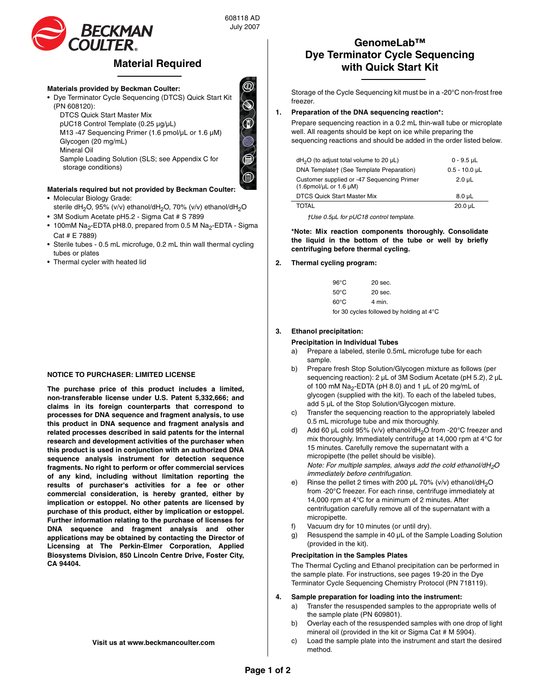

# **Material Required**

#### **Materials provided by Beckman Coulter:**

- Dye Terminator Cycle Sequencing (DTCS) Quick Start Kit (PN 608120):
	- DTCS Quick Start Master Mix
	- pUC18 Control Template (0.25 µg/µL)
	- M13 -47 Sequencing Primer (1.6 pmol/µL or 1.6 µM)
	- Glycogen (20 mg/mL)
	- Mineral Oil
	- Sample Loading Solution (SLS; see Appendix C for storage conditions)

# **Materials required but not provided by Beckman Coulter:**

- Molecular Biology Grade: sterile dH<sub>2</sub>O, 95% (v/v) ethanol/dH<sub>2</sub>O, 70% (v/v) ethanol/dH<sub>2</sub>O
- 3M Sodium Acetate pH5.2 Sigma Cat # S 7899
- 100mM Na<sub>2</sub>-EDTA pH8.0, prepared from 0.5 M Na<sub>2</sub>-EDTA Sigma Cat # E 7889)
- Sterile tubes 0.5 mL microfuge, 0.2 mL thin wall thermal cycling tubes or plates
- Thermal cycler with heated lid

#### **NOTICE TO PURCHASER: LIMITED LICENSE**

**The purchase price of this product includes a limited, non-transferable license under U.S. Patent 5,332,666; and claims in its foreign counterparts that correspond to processes for DNA sequence and fragment analysis, to use this product in DNA sequence and fragment analysis and related processes described in said patents for the internal research and development activities of the purchaser when this product is used in conjunction with an authorized DNA sequence analysis instrument for detection sequence fragments. No right to perform or offer commercial services of any kind, including without limitation reporting the results of purchaser's activities for a fee or other commercial consideration, is hereby granted, either by implication or estoppel. No other patents are licensed by purchase of this product, either by implication or estoppel. Further information relating to the purchase of licenses for DNA sequence and fragment analysis and other applications may be obtained by contacting the Director of Licensing at The Perkin-Elmer Corporation, Applied Biosystems Division, 850 Lincoln Centre Drive, Foster City, CA 94404.**

#### **Visit us at www.beckmancoulter.com**

# **GenomeLab™ Dye Terminator Cycle Sequencing with Quick Start Kit**

Storage of the Cycle Sequencing kit must be in a -20°C non-frost free freezer.

#### **1. Preparation of the DNA sequencing reaction\*:**

Prepare sequencing reaction in a 0.2 mL thin-wall tube or microplate well. All reagents should be kept on ice while preparing the sequencing reactions and should be added in the order listed below.

| $dH2O$ (to adjust total volume to 20 $\mu$ L)                             | $0 - 9.5$ µL      |
|---------------------------------------------------------------------------|-------------------|
| DNA Template† (See Template Preparation)                                  | $0.5 - 10.0$ µL   |
| Customer supplied or -47 Sequencing Primer<br>$(1.6$ pmol/µL or $1.6$ µM) | $2.0 \text{ }\mu$ |
| <b>DTCS Quick Start Master Mix</b>                                        | $8.0 \mu L$       |
| <b>TOTAL</b>                                                              | $20.0 \mu L$      |

*†Use 0.5µL for pUC18 control template.*

**\*Note: Mix reaction components thoroughly. Consolidate the liquid in the bottom of the tube or well by briefly centrifuging before thermal cycling.**

#### **2. Thermal cycling program:**

| 96°C | 20 sec. |  |  |
|------|---------|--|--|
| 50°C | 20 sec. |  |  |
| 60°C | 4 min.  |  |  |
|      |         |  |  |

for 30 cycles followed by holding at 4°C

#### **3. Ethanol precipitation:**

#### **Precipitation in Individual Tubes**

- a) Prepare a labeled, sterile 0.5mL microfuge tube for each sample.
- b) Prepare fresh Stop Solution/Glycogen mixture as follows (per sequencing reaction): 2 µL of 3M Sodium Acetate (pH 5.2), 2 µL of 100 mM Na<sub>2</sub>-EDTA (pH 8.0) and 1  $\mu$ L of 20 mg/mL of glycogen (supplied with the kit). To each of the labeled tubes, add 5 µL of the Stop Solution/Glycogen mixture.
- c) Transfer the sequencing reaction to the appropriately labeled 0.5 mL microfuge tube and mix thoroughly.
- d) Add 60  $\mu$ L cold 95% (v/v) ethanol/dH<sub>2</sub>O from -20°C freezer and mix thoroughly. Immediately centrifuge at 14,000 rpm at 4°C for 15 minutes. Carefully remove the supernatant with a micropipette (the pellet should be visible). *Note: For multiple samples, always add the cold ethanol/dH2O immediately before centrifugation.*
- Rinse the pellet 2 times with 200  $\mu$ L 70% (v/v) ethanol/dH<sub>2</sub>O from -20°C freezer. For each rinse, centrifuge immediately at 14,000 rpm at 4°C for a minimum of 2 minutes. After centrifugation carefully remove all of the supernatant with a micropipette.
- f) Vacuum dry for 10 minutes (or until dry).
- Resuspend the sample in 40 µL of the Sample Loading Solution (provided in the kit).

#### **Precipitation in the Samples Plates**

The Thermal Cycling and Ethanol precipitation can be performed in the sample plate. For instructions, see pages 19-20 in the Dye Terminator Cycle Sequencing Chemistry Protocol (PN 718119).

#### **4. Sample preparation for loading into the instrument:**

- a) Transfer the resuspended samples to the appropriate wells of the sample plate (PN 609801).
- b) Overlay each of the resuspended samples with one drop of light mineral oil (provided in the kit or Sigma Cat # M 5904).
- c) Load the sample plate into the instrument and start the desired method.